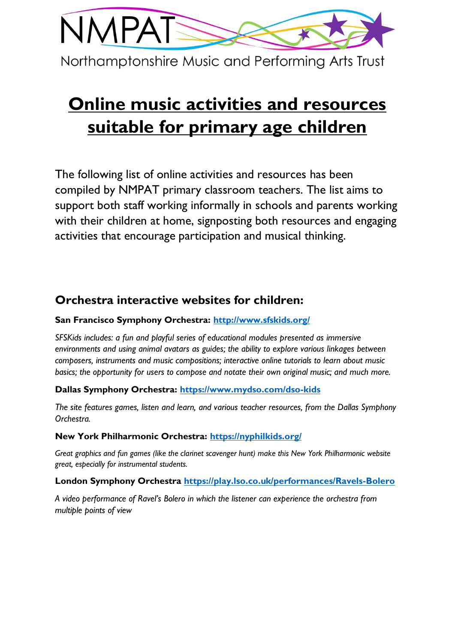

# **Online music activities and resources suitable for primary age children**

The following list of online activities and resources has been compiled by NMPAT primary classroom teachers. The list aims to support both staff working informally in schools and parents working with their children at home, signposting both resources and engaging activities that encourage participation and musical thinking.

# **Orchestra interactive websites for children:**

### **San Francisco Symphony Orchestra:<http://www.sfskids.org/>**

*SFSKids includes: a fun and playful series of educational modules presented as immersive environments and using animal avatars as guides; the ability to explore various linkages between composers, instruments and music compositions; interactive online tutorials to learn about music basics; the opportunity for users to compose and notate their own original music; and much more.*

### **Dallas Symphony Orchestra:<https://www.mydso.com/dso-kids>**

*The site features games, listen and learn, and various teacher resources, from the Dallas Symphony Orchestra.*

### **New York Philharmonic Orchestra:<https://nyphilkids.org/>**

*Great graphics and fun games (like the clarinet scavenger hunt) make this New York Philharmonic website great, especially for instrumental students.* 

### **London Symphony Orchestra<https://play.lso.co.uk/performances/Ravels-Bolero>**

*A video performance of Ravel's Bolero in which the listener can experience the orchestra from multiple points of view*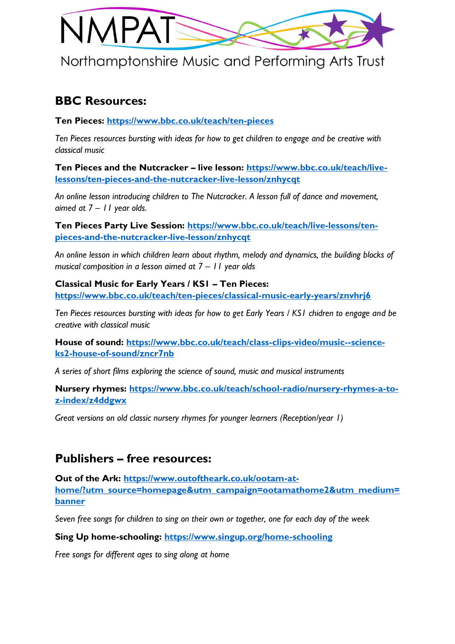

### **BBC Resources:**

**Ten Pieces:<https://www.bbc.co.uk/teach/ten-pieces>**

*Ten Pieces resources bursting with ideas for how to get children to engage and be creative with classical music*

**Ten Pieces and the Nutcracker – live lesson: [https://www.bbc.co.uk/teach/live](https://www.bbc.co.uk/teach/live-lessons/ten-pieces-and-the-nutcracker-live-lesson/znhycqt)[lessons/ten-pieces-and-the-nutcracker-live-lesson/znhycqt](https://www.bbc.co.uk/teach/live-lessons/ten-pieces-and-the-nutcracker-live-lesson/znhycqt)**

*An online lesson introducing children to The Nutcracker. A lesson full of dance and movement, aimed at 7 – 11 year olds.*

**Ten Pieces Party Live Session: [https://www.bbc.co.uk/teach/live-lessons/ten](https://www.bbc.co.uk/teach/live-lessons/ten-pieces-and-the-nutcracker-live-lesson/znhycqt)[pieces-and-the-nutcracker-live-lesson/znhycqt](https://www.bbc.co.uk/teach/live-lessons/ten-pieces-and-the-nutcracker-live-lesson/znhycqt)**

*An online lesson in which children learn about rhythm, melody and dynamics, the building blocks of musical composition in a lesson aimed at 7 – 11 year olds* 

**Classical Music for Early Years / KS1 – Ten Pieces: <https://www.bbc.co.uk/teach/ten-pieces/classical-music-early-years/znvhrj6>**

*Ten Pieces resources bursting with ideas for how to get Early Years / KS1 chidren to engage and be creative with classical music*

**House of sound: [https://www.bbc.co.uk/teach/class-clips-video/music--science](https://www.bbc.co.uk/teach/class-clips-video/music--science-ks2-house-of-sound/zncr7nb)[ks2-house-of-sound/zncr7nb](https://www.bbc.co.uk/teach/class-clips-video/music--science-ks2-house-of-sound/zncr7nb)**

*A series of short films exploring the science of sound, music and musical instruments*

**Nursery rhymes: [https://www.bbc.co.uk/teach/school-radio/nursery-rhymes-a-to](https://www.bbc.co.uk/teach/school-radio/nursery-rhymes-a-to-z-index/z4ddgwx)[z-index/z4ddgwx](https://www.bbc.co.uk/teach/school-radio/nursery-rhymes-a-to-z-index/z4ddgwx)**

*Great versions on old classic nursery rhymes for younger learners (Reception/year 1)*

# **Publishers – free resources:**

**Out of the Ark: [https://www.outoftheark.co.uk/ootam-at](https://www.outoftheark.co.uk/ootam-at-home/?utm_source=homepage&utm_campaign=ootamathome2&utm_medium=banner)[home/?utm\\_source=homepage&utm\\_campaign=ootamathome2&utm\\_medium=](https://www.outoftheark.co.uk/ootam-at-home/?utm_source=homepage&utm_campaign=ootamathome2&utm_medium=banner) [banner](https://www.outoftheark.co.uk/ootam-at-home/?utm_source=homepage&utm_campaign=ootamathome2&utm_medium=banner)**

*Seven free songs for children to sing on their own or together, one for each day of the week*

**Sing Up home-schooling:<https://www.singup.org/home-schooling>**

*Free songs for different ages to sing along at home*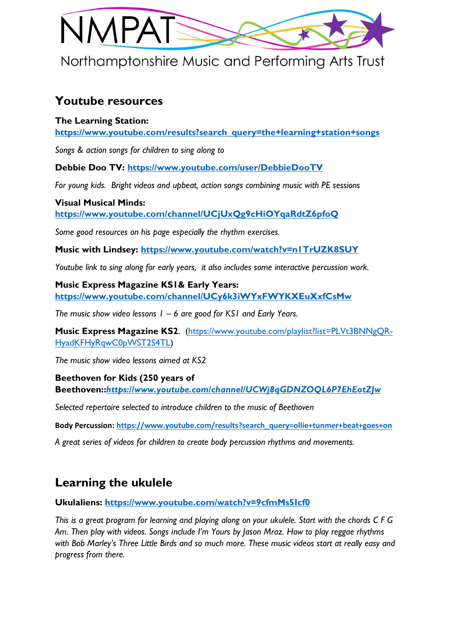

# **Youtube resources**

### **The Learning Station:**

**[https://www.youtube.com/results?search\\_query=the+learning+station+songs](https://www.youtube.com/results?search_query=the+learning+station+songs)**

*Songs & action songs for children to sing along to*

**Debbie Doo TV:<https://www.youtube.com/user/DebbieDooTV>**

*For young kids. Bright videos and upbeat, action songs combining music with PE sessions* 

**Visual Musical Minds: <https://www.youtube.com/channel/UCjUxQg9cHiOYqaRdtZ6pfoQ>**

*Some good resources on his page especially the rhythm exercises.*

**Music with Lindsey:<https://www.youtube.com/watch?v=n1TrUZK8SUY>**

*Youtube link to sing along for early years, it also includes some interactive percussion work.*

**Music Express Magazine KS1& Early Years: <https://www.youtube.com/channel/UCy6k3iWYxFWYKXEuXxfCsMw>**

*The music show video lessons 1 – 6 are good for KS1 and Early Years.* 

**Music Express Magazine KS2**. [\(https://www.youtube.com/playlist?list=PLVt3BNNgQR-](https://www.youtube.com/playlist?list=PLVt3BNNgQR-HyadKFHyRqwC0pWST2S4TL)[HyadKFHyRqwC0pWST2S4TL\)](https://www.youtube.com/playlist?list=PLVt3BNNgQR-HyadKFHyRqwC0pWST2S4TL)

*The music show video lessons aimed at KS2*

**Beethoven for Kids (250 years of** 

**Beethoven::***<https://www.youtube.com/channel/UCWj8qGDNZOQL6P7EhEotZJw>*

*Selected repertoire selected to introduce children to the music of Beethoven* 

**Body Percussion: [https://www.youtube.com/results?search\\_query=ollie+tunmer+beat+goes+on](https://www.youtube.com/results?search_query=ollie+tunmer+beat+goes+on)**

*A great series of videos for children to create body percussion rhythms and movements.* 

# **Learning the ukulele**

**Ukulaliens:<https://www.youtube.com/watch?v=9cfmMs5Icf0>**

*This is a great program for learning and playing along on your ukulele. Start with the chords C F G Am. Then play with videos. Songs include I'm Yours by Jason Mraz. How to play reggae rhythms with Bob Marley's Three Little Birds and so much more. These music videos start at really easy and progress from there.*